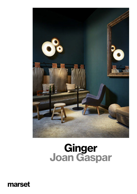

# Ginger<br>Joan Gaspar

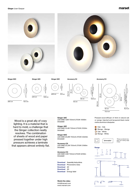marset



Ginger 60C

 $\overline{\phi}$ 60 cm  $\overline{16,4}$  cm

 $\overline{\omega$ 42 cm 12,8 cm

Ginger 42C

Ginger 32C

ø32 cm 9,3 cm

Accesory C2

55,2 cm 42 cm



Accesory C3



Wood is a great ally of cozy lighting. It is a material that is hard to mold, a challenge that the Ginger collection neatly resolves. The combination of sheets of wood and paper pressed together under high pressure achieves a laminate that appears almost entirely flat.

### Ginger 32C

LED SMD 7,8W 700mA 2700K 1066lm (included)

## Ginger 42C

LED SMD 15,4W 700mA 2700K 2130lm (included)

### Ginger 60C

LED SMD 20,8W 700mA 2700K 3023lm (included)

### Accesory C2

LED SMD 23,2W 700mA 2700K 3196lm (included)

### Accesory C3

LED SMD 44W 700mA 2700K 6219lm (included)

Download [Assembly Instructions](http://www.marset.com/wp-content/uploads/lamparas/sobremesa-es/ginger-sobremesa/Assembly-Instructions_Ginger-table.zip?utm_source=Download%20web%20marset&utm_medium=SPEC%20SHEET%20GINGER%20EU) Download [Photometric Data](http://www.marset.com/en/lamps/ginger-table/?utm_source=Download%20web%20marset&utm_medium=SPEC%20SHEET%20GINGER%20EU) [Download](http://www.marset.com/en/lamps/ginger-table/?utm_source=Download%20web%20marset&utm_medium=SPEC%20SHEET%20GINGER%20EU) 2D [Download](http://www.marset.com/en/lamps/ginger-table/?utm_source=Download%20web%20marset&utm_medium=SPEC%20SHEET%20GINGER%20EU) 3D Download [Energy label](http://www.marset.com/wp-content/uploads/lamparas/suspension-es/ginger-suspension/Energy-label_Ginger.pdf?utm_source=Download%20web%20marset&utm_medium=SPEC%20SHEET%20GINGER%20EU)

info@marset.com www.marset.com [Watch the video](https://www.youtube.com/watch?v=0_WO6088h_Y)

Pressed wood diffuser of 4mm in natural oak or wenge. Injected and lacquered black metal matte aluminium dissipater.

 Oak - Oak Wenge - Wenge Oak - White Wenge - White



\*Phase cut dimmer lea-ding and trailing edge (Triac)